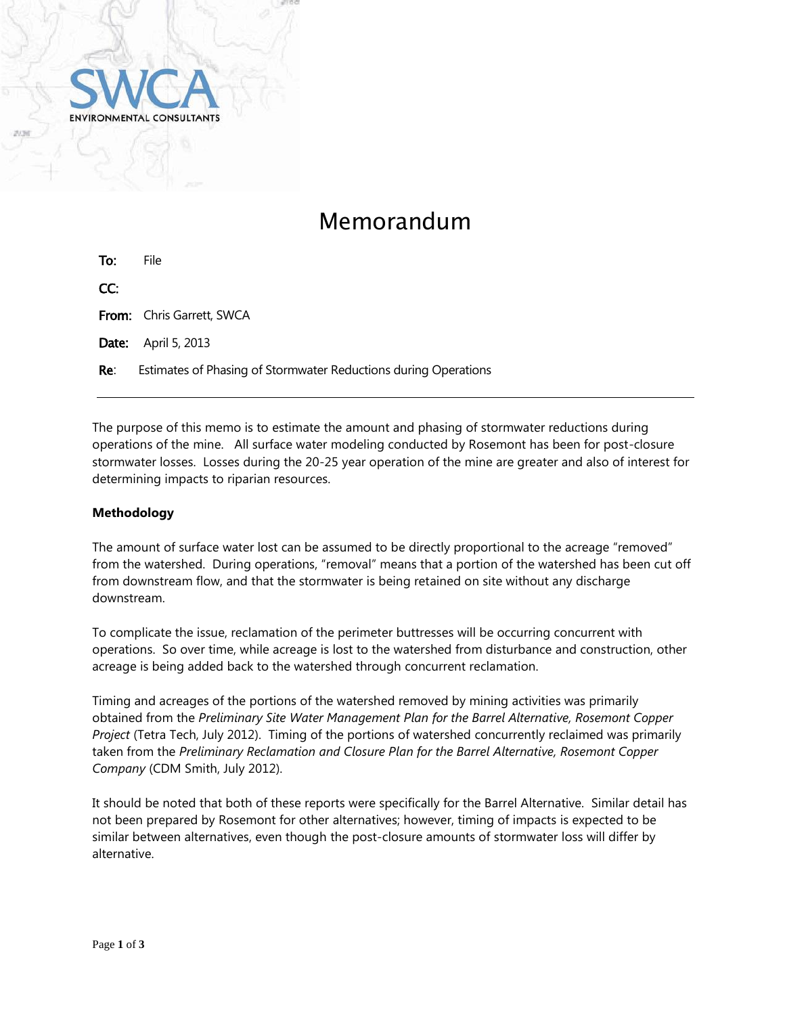

# Memorandum

| To: | File                                                            |
|-----|-----------------------------------------------------------------|
| CC: |                                                                 |
|     | <b>From:</b> Chris Garrett, SWCA                                |
|     | <b>Date:</b> April 5, 2013                                      |
| Re: | Estimates of Phasing of Stormwater Reductions during Operations |

The purpose of this memo is to estimate the amount and phasing of stormwater reductions during operations of the mine. All surface water modeling conducted by Rosemont has been for post-closure stormwater losses. Losses during the 20-25 year operation of the mine are greater and also of interest for determining impacts to riparian resources.

## **Methodology**

The amount of surface water lost can be assumed to be directly proportional to the acreage "removed" from the watershed. During operations, "removal" means that a portion of the watershed has been cut off from downstream flow, and that the stormwater is being retained on site without any discharge downstream.

To complicate the issue, reclamation of the perimeter buttresses will be occurring concurrent with operations. So over time, while acreage is lost to the watershed from disturbance and construction, other acreage is being added back to the watershed through concurrent reclamation.

Timing and acreages of the portions of the watershed removed by mining activities was primarily obtained from the *Preliminary Site Water Management Plan for the Barrel Alternative, Rosemont Copper Project* (Tetra Tech, July 2012). Timing of the portions of watershed concurrently reclaimed was primarily taken from the *Preliminary Reclamation and Closure Plan for the Barrel Alternative, Rosemont Copper Company* (CDM Smith, July 2012).

It should be noted that both of these reports were specifically for the Barrel Alternative. Similar detail has not been prepared by Rosemont for other alternatives; however, timing of impacts is expected to be similar between alternatives, even though the post-closure amounts of stormwater loss will differ by alternative.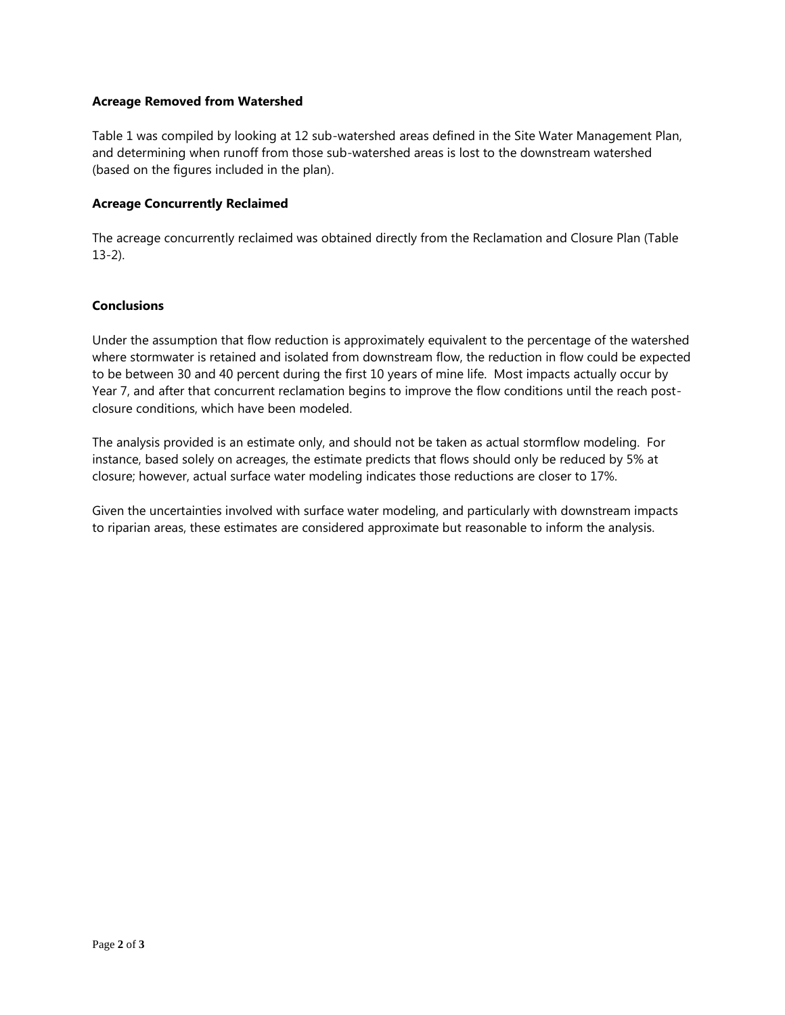### **Acreage Removed from Watershed**

Table 1 was compiled by looking at 12 sub-watershed areas defined in the Site Water Management Plan, and determining when runoff from those sub-watershed areas is lost to the downstream watershed (based on the figures included in the plan).

### **Acreage Concurrently Reclaimed**

The acreage concurrently reclaimed was obtained directly from the Reclamation and Closure Plan (Table 13-2).

### **Conclusions**

Under the assumption that flow reduction is approximately equivalent to the percentage of the watershed where stormwater is retained and isolated from downstream flow, the reduction in flow could be expected to be between 30 and 40 percent during the first 10 years of mine life. Most impacts actually occur by Year 7, and after that concurrent reclamation begins to improve the flow conditions until the reach postclosure conditions, which have been modeled.

The analysis provided is an estimate only, and should not be taken as actual stormflow modeling. For instance, based solely on acreages, the estimate predicts that flows should only be reduced by 5% at closure; however, actual surface water modeling indicates those reductions are closer to 17%.

Given the uncertainties involved with surface water modeling, and particularly with downstream impacts to riparian areas, these estimates are considered approximate but reasonable to inform the analysis.